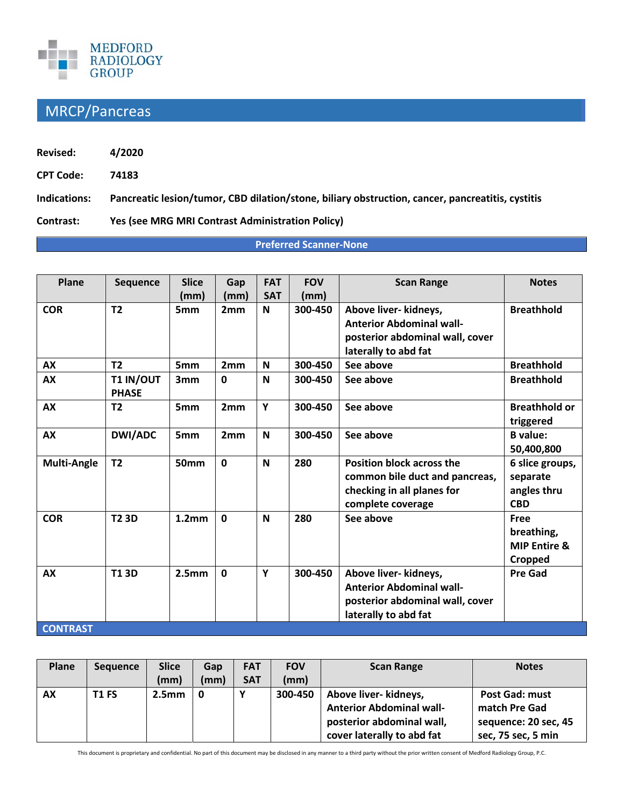

## MRCP/Pancreas

| <b>Revised:</b>  | 4/2020                                                                                           |
|------------------|--------------------------------------------------------------------------------------------------|
| <b>CPT Code:</b> | 74183                                                                                            |
| Indications:     | Pancreatic lesion/tumor, CBD dilation/stone, biliary obstruction, cancer, pancreatitis, cystitis |
| Contrast:        | <b>Yes (see MRG MRI Contrast Administration Policy)</b>                                          |

## **Preferred Scanner-None**

| Plane                        | <b>Sequence</b>           | <b>Slice</b>      | Gap          | <b>FAT</b> | <b>FOV</b> | <b>Scan Range</b>                                                                                                     | <b>Notes</b>                                             |
|------------------------------|---------------------------|-------------------|--------------|------------|------------|-----------------------------------------------------------------------------------------------------------------------|----------------------------------------------------------|
|                              |                           | (mm)              | (mm)         | <b>SAT</b> | (mm)       |                                                                                                                       |                                                          |
| <b>COR</b>                   | T2                        | 5 <sub>mm</sub>   | 2mm          | N          | 300-450    | Above liver- kidneys,<br><b>Anterior Abdominal wall-</b><br>posterior abdominal wall, cover<br>laterally to abd fat   | <b>Breathhold</b>                                        |
| AX                           | T <sub>2</sub>            | 5 <sub>mm</sub>   | 2mm          | N          | 300-450    | See above                                                                                                             | <b>Breathhold</b>                                        |
| <b>AX</b>                    | T1 IN/OUT<br><b>PHASE</b> | 3 <sub>mm</sub>   | $\mathbf{0}$ | N          | 300-450    | See above                                                                                                             | <b>Breathhold</b>                                        |
| <b>AX</b>                    | T <sub>2</sub>            | 5 <sub>mm</sub>   | 2mm          | Y          | 300-450    | See above                                                                                                             | <b>Breathhold or</b><br>triggered                        |
| AX                           | <b>DWI/ADC</b>            | 5mm               | 2mm          | N          | 300-450    | See above                                                                                                             | <b>B</b> value:<br>50,400,800                            |
| <b>Multi-Angle</b>           | T <sub>2</sub>            | <b>50mm</b>       | $\mathbf{0}$ | N          | 280        | <b>Position block across the</b><br>common bile duct and pancreas,<br>checking in all planes for<br>complete coverage | 6 slice groups,<br>separate<br>angles thru<br><b>CBD</b> |
| <b>COR</b>                   | <b>T2 3D</b>              | 1.2 <sub>mm</sub> | $\Omega$     | N          | 280        | See above                                                                                                             | Free<br>breathing,<br><b>MIP Entire &amp;</b><br>Cropped |
| <b>AX</b><br><b>CONTRAST</b> | <b>T13D</b>               | 2.5 <sub>mm</sub> | $\mathbf 0$  | Y          | 300-450    | Above liver- kidneys,<br><b>Anterior Abdominal wall-</b><br>posterior abdominal wall, cover<br>laterally to abd fat   | <b>Pre Gad</b>                                           |

| Plane     | <b>Sequence</b> | <b>Slice</b>      | Gap  | <b>FAT</b> | <b>FOV</b> | <b>Scan Range</b>               | <b>Notes</b>          |
|-----------|-----------------|-------------------|------|------------|------------|---------------------------------|-----------------------|
|           |                 | (mm)              | (mm) | <b>SAT</b> | (mm)       |                                 |                       |
| <b>AX</b> | <b>T1 FS</b>    | 2.5 <sub>mm</sub> | 0    |            | 300-450    | Above liver- kidneys,           | <b>Post Gad: must</b> |
|           |                 |                   |      |            |            | <b>Anterior Abdominal wall-</b> | match Pre Gad         |
|           |                 |                   |      |            |            | posterior abdominal wall,       | sequence: 20 sec, 45  |
|           |                 |                   |      |            |            | cover laterally to abd fat      | sec, 75 sec, 5 min    |

This document is proprietary and confidential. No part of this document may be disclosed in any manner to a third party without the prior written consent of Medford Radiology Group, P.C.